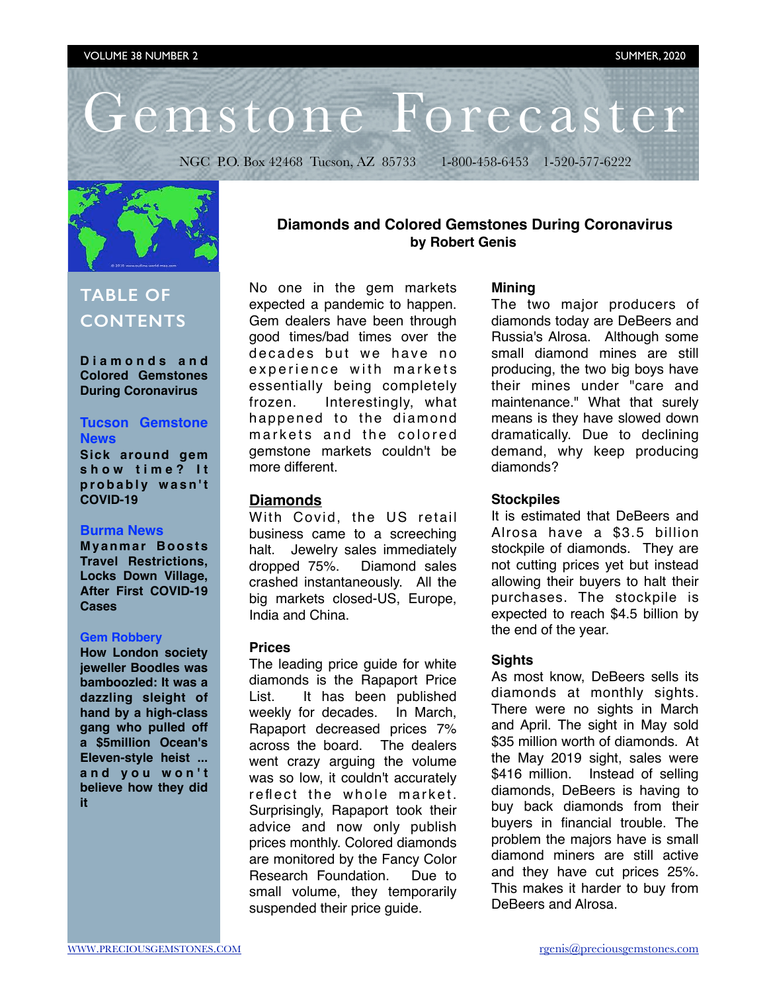# Gemstone Forecaster

NGC P.O. Box 42468 Tucson, AZ 85733 1-800-458-6453 1-520-577-6222

# **TABLE OF CONTENTS**

**D i a m o n d s a n d Colored Gemstones During Coronavirus** 

# **Tucson Gemstone News**

**Sick around gem**  show time? It **p r o b a b l y w a s n ' t COVID-19**

## **Burma News**

**Mvanmar Boosts Travel Restrictions, Locks Down Village, After First COVID-19 Cases**

#### **Gem Robbery**

**How London society jeweller Boodles was bamboozled: It was a dazzling sleight of hand by a high-class gang who pulled off a \$5million Ocean's Eleven-style heist ... a n d y o u w o n ' t believe how they did it**

# **Diamonds and Colored Gemstones During Coronavirus by Robert Genis**

No one in the gem markets expected a pandemic to happen. Gem dealers have been through good times/bad times over the decades but we have no experience with markets essentially being completely frozen. Interestingly, what happened to the diamond markets and the colored gemstone markets couldn't be more different.

# **Diamonds**

With Covid, the US retail business came to a screeching halt. Jewelry sales immediately dropped 75%. Diamond sales crashed instantaneously. All the big markets closed-US, Europe, India and China.

#### **Prices**

The leading price guide for white diamonds is the Rapaport Price List. It has been published weekly for decades. In March, Rapaport decreased prices 7% across the board. The dealers went crazy arguing the volume was so low, it couldn't accurately reflect the whole market. Surprisingly, Rapaport took their advice and now only publish prices monthly. Colored diamonds are monitored by the Fancy Color Research Foundation. Due to small volume, they temporarily suspended their price guide.

#### **Mining**

The two major producers of diamonds today are DeBeers and Russia's Alrosa. Although some small diamond mines are still producing, the two big boys have their mines under "care and maintenance." What that surely means is they have slowed down dramatically. Due to declining demand, why keep producing diamonds?

#### **Stockpiles**

It is estimated that DeBeers and Alrosa have a \$3.5 billion stockpile of diamonds. They are not cutting prices yet but instead allowing their buyers to halt their purchases. The stockpile is expected to reach \$4.5 billion by the end of the year.

## **Sights**

As most know, DeBeers sells its diamonds at monthly sights. There were no sights in March and April. The sight in May sold \$35 million worth of diamonds At the May 2019 sight, sales were \$416 million. Instead of selling diamonds, DeBeers is having to buy back diamonds from their buyers in financial trouble. The problem the majors have is small diamond miners are still active and they have cut prices 25%. This makes it harder to buy from DeBeers and Alrosa.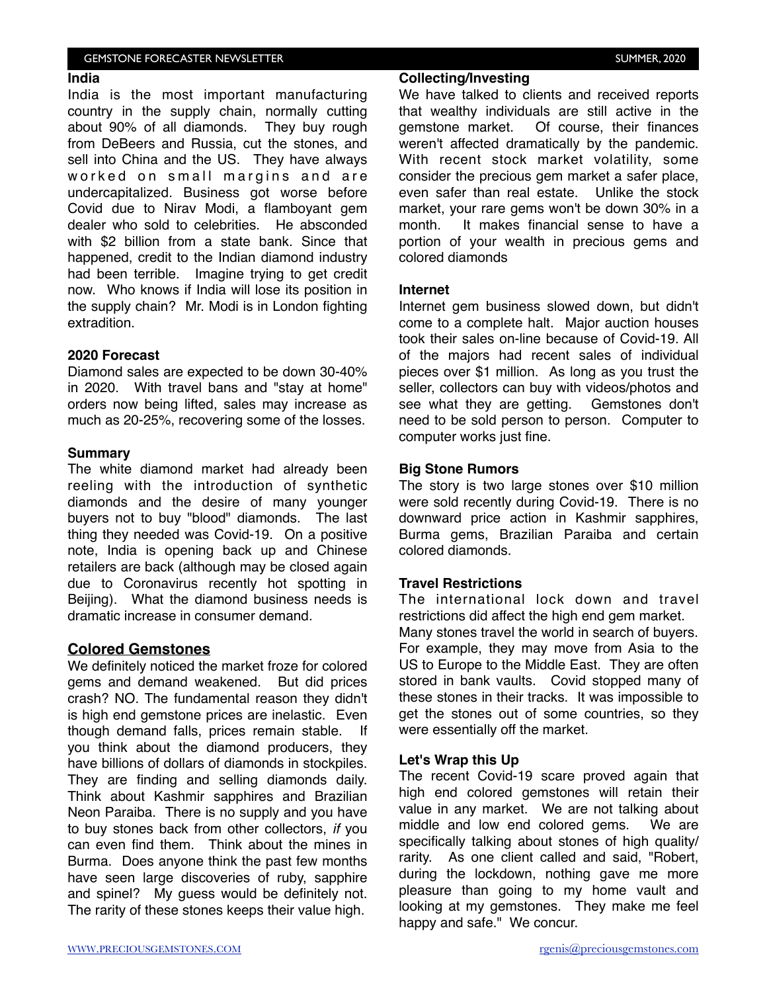#### GEMSTONE FORECASTER NEWSLETTER SUMMER, 2020

#### **India**

India is the most important manufacturing country in the supply chain, normally cutting about 90% of all diamonds. They buy rough from DeBeers and Russia, cut the stones, and sell into China and the US. They have always worked on small margins and are undercapitalized. Business got worse before Covid due to Nirav Modi, a flamboyant gem dealer who sold to celebrities. He absconded with \$2 billion from a state bank. Since that happened, credit to the Indian diamond industry had been terrible. Imagine trying to get credit now. Who knows if India will lose its position in the supply chain? Mr. Modi is in London fighting extradition.

# **2020 Forecast**

Diamond sales are expected to be down 30-40% in 2020. With travel bans and "stay at home" orders now being lifted, sales may increase as much as 20-25%, recovering some of the losses.

# **Summary**

The white diamond market had already been reeling with the introduction of synthetic diamonds and the desire of many younger buyers not to buy "blood" diamonds. The last thing they needed was Covid-19. On a positive note, India is opening back up and Chinese retailers are back (although may be closed again due to Coronavirus recently hot spotting in Beijing). What the diamond business needs is dramatic increase in consumer demand.

# **Colored Gemstones**

We definitely noticed the market froze for colored gems and demand weakened. But did prices crash? NO. The fundamental reason they didn't is high end gemstone prices are inelastic. Even though demand falls, prices remain stable. If you think about the diamond producers, they have billions of dollars of diamonds in stockpiles. They are finding and selling diamonds daily. Think about Kashmir sapphires and Brazilian Neon Paraiba. There is no supply and you have to buy stones back from other collectors, *if* you can even find them. Think about the mines in Burma. Does anyone think the past few months have seen large discoveries of ruby, sapphire and spinel? My guess would be definitely not. The rarity of these stones keeps their value high.

#### **Collecting/Investing**

We have talked to clients and received reports that wealthy individuals are still active in the gemstone market. Of course, their finances weren't affected dramatically by the pandemic. With recent stock market volatility, some consider the precious gem market a safer place, even safer than real estate. Unlike the stock market, your rare gems won't be down 30% in a month. It makes financial sense to have a portion of your wealth in precious gems and colored diamonds

## **Internet**

Internet gem business slowed down, but didn't come to a complete halt. Major auction houses took their sales on-line because of Covid-19. All of the majors had recent sales of individual pieces over \$1 million. As long as you trust the seller, collectors can buy with videos/photos and see what they are getting. Gemstones don't need to be sold person to person. Computer to computer works just fine.

# **Big Stone Rumors**

The story is two large stones over \$10 million were sold recently during Covid-19. There is no downward price action in Kashmir sapphires, Burma gems, Brazilian Paraiba and certain colored diamonds.

# **Travel Restrictions**

The international lock down and travel restrictions did affect the high end gem market.

Many stones travel the world in search of buyers. For example, they may move from Asia to the US to Europe to the Middle East. They are often stored in bank vaults. Covid stopped many of these stones in their tracks. It was impossible to get the stones out of some countries, so they were essentially off the market.

## **Let's Wrap this Up**

The recent Covid-19 scare proved again that high end colored gemstones will retain their value in any market. We are not talking about middle and low end colored gems. We are specifically talking about stones of high quality/ rarity. As one client called and said, "Robert, during the lockdown, nothing gave me more pleasure than going to my home vault and looking at my gemstones. They make me feel happy and safe." We concur.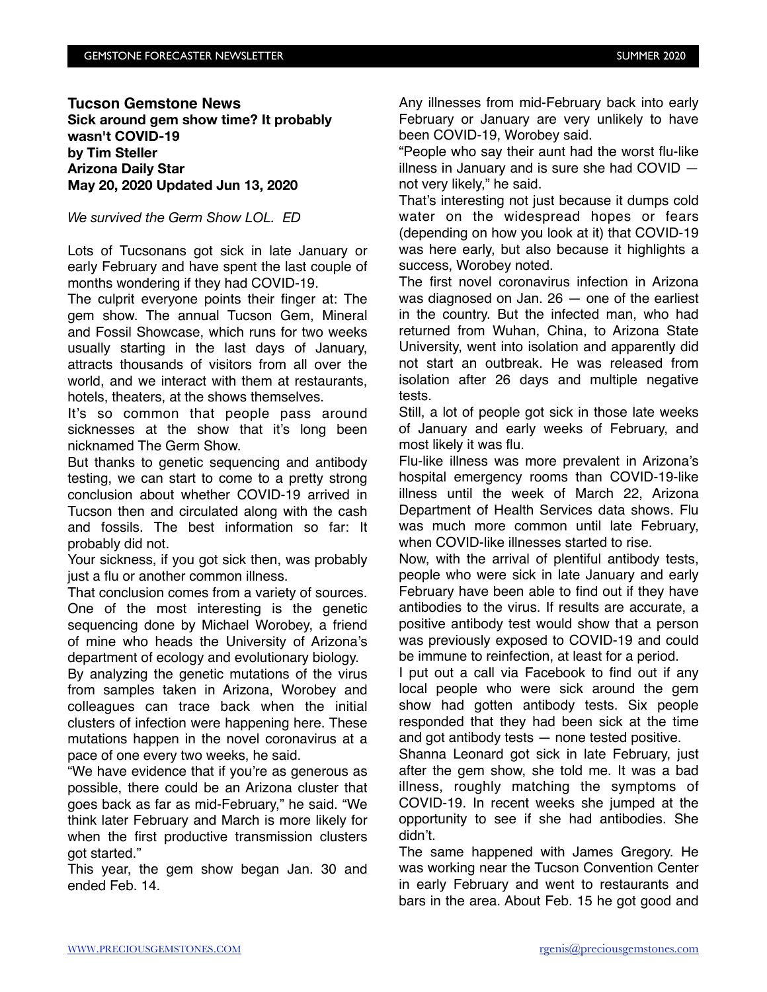**Tucson Gemstone News Sick around gem show time? It probably wasn't COVID-19 by Tim Steller Arizona Daily Star May 20, 2020 Updated Jun 13, 2020** 

#### *We survived the Germ Show LOL. ED*

Lots of Tucsonans got sick in late January or early February and have spent the last couple of months wondering if they had COVID-19.

The culprit everyone points their finger at: The gem show. The annual Tucson Gem, Mineral and Fossil Showcase, which runs for two weeks usually starting in the last days of January, attracts thousands of visitors from all over the world, and we interact with them at restaurants, hotels, theaters, at the shows themselves.

It's so common that people pass around sicknesses at the show that it's long been nicknamed The Germ Show.

But thanks to genetic sequencing and antibody testing, we can start to come to a pretty strong conclusion about whether COVID-19 arrived in Tucson then and circulated along with the cash and fossils. The best information so far: It probably did not.

Your sickness, if you got sick then, was probably just a flu or another common illness.

That conclusion comes from a variety of sources. One of the most interesting is the genetic sequencing done by Michael Worobey, a friend of mine who heads the University of Arizona's department of ecology and evolutionary biology.

By analyzing the genetic mutations of the virus from samples taken in Arizona, Worobey and colleagues can trace back when the initial clusters of infection were happening here. These mutations happen in the novel coronavirus at a pace of one every two weeks, he said.

"We have evidence that if you're as generous as possible, there could be an Arizona cluster that goes back as far as mid-February," he said. "We think later February and March is more likely for when the first productive transmission clusters got started."

This year, the gem show began Jan. 30 and ended Feb. 14.

Any illnesses from mid-February back into early February or January are very unlikely to have been COVID-19, Worobey said.

"People who say their aunt had the worst flu-like illness in January and is sure she had COVID not very likely," he said.

That's interesting not just because it dumps cold water on the widespread hopes or fears (depending on how you look at it) that COVID-19 was here early, but also because it highlights a success, Worobey noted.

The first novel coronavirus infection in Arizona was diagnosed on Jan. 26 — one of the earliest in the country. But the infected man, who had returned from Wuhan, China, to Arizona State University, went into isolation and apparently did not start an outbreak. He was released from isolation after 26 days and multiple negative tests.

Still, a lot of people got sick in those late weeks of January and early weeks of February, and most likely it was flu.

Flu-like illness was more prevalent in Arizona's hospital emergency rooms than COVID-19-like illness until the week of March 22, Arizona Department of Health Services data shows. Flu was much more common until late February, when COVID-like illnesses started to rise.

Now, with the arrival of plentiful antibody tests, people who were sick in late January and early February have been able to find out if they have antibodies to the virus. If results are accurate, a positive antibody test would show that a person was previously exposed to COVID-19 and could be immune to reinfection, at least for a period.

I put out a call via Facebook to find out if any local people who were sick around the gem show had gotten antibody tests. Six people responded that they had been sick at the time and got antibody tests — none tested positive.

Shanna Leonard got sick in late February, just after the gem show, she told me. It was a bad illness, roughly matching the symptoms of COVID-19. In recent weeks she jumped at the opportunity to see if she had antibodies. She didn't.

The same happened with James Gregory. He was working near the Tucson Convention Center in early February and went to restaurants and bars in the area. About Feb. 15 he got good and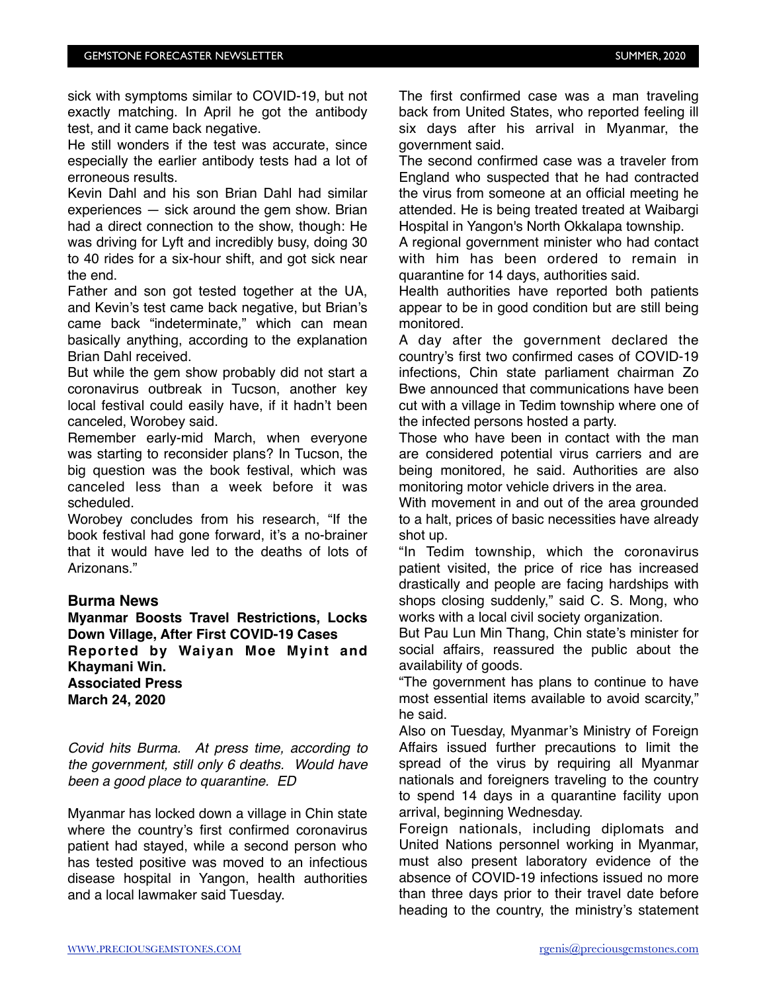#### GEMSTONE FORECASTER NEWSLETTER SUMMER, 2020

sick with symptoms similar to COVID-19, but not exactly matching. In April he got the antibody test, and it came back negative.

He still wonders if the test was accurate, since especially the earlier antibody tests had a lot of erroneous results.

Kevin Dahl and his son Brian Dahl had similar experiences — sick around the gem show. Brian had a direct connection to the show, though: He was driving for Lyft and incredibly busy, doing 30 to 40 rides for a six-hour shift, and got sick near the end.

Father and son got tested together at the UA, and Kevin's test came back negative, but Brian's came back "indeterminate," which can mean basically anything, according to the explanation Brian Dahl received.

But while the gem show probably did not start a coronavirus outbreak in Tucson, another key local festival could easily have, if it hadn't been canceled, Worobey said.

Remember early-mid March, when everyone was starting to reconsider plans? In Tucson, the big question was the book festival, which was canceled less than a week before it was scheduled.

Worobey concludes from his research, "If the book festival had gone forward, it's a no-brainer that it would have led to the deaths of lots of Arizonans."

## **Burma News**

**Myanmar Boosts Travel Restrictions, Locks Down Village, After First COVID-19 Cases Reported by Waiyan Moe Myint and Khaymani Win. Associated Press March 24, 2020**

*Covid hits Burma. At press time, according to the government, still only 6 deaths. Would have been a good place to quarantine. ED*

Myanmar has locked down a village in Chin state where the country's first confirmed coronavirus patient had stayed, while a second person who has tested positive was moved to an infectious disease hospital in Yangon, health authorities and a local lawmaker said Tuesday.

The first confirmed case was a man traveling back from United States, who reported feeling ill six days after his arrival in Myanmar, the government said.

The second confirmed case was a traveler from England who suspected that he had contracted the virus from someone at an official meeting he attended. He is being treated treated at Waibargi Hospital in Yangon's North Okkalapa township.

A regional government minister who had contact with him has been ordered to remain in quarantine for 14 days, authorities said.

Health authorities have reported both patients appear to be in good condition but are still being monitored.

A day after the government declared the country's first two confirmed cases of COVID-19 infections, Chin state parliament chairman Zo Bwe announced that communications have been cut with a village in Tedim township where one of the infected persons hosted a party.

Those who have been in contact with the man are considered potential virus carriers and are being monitored, he said. Authorities are also monitoring motor vehicle drivers in the area.

With movement in and out of the area grounded to a halt, prices of basic necessities have already shot up.

"In Tedim township, which the coronavirus patient visited, the price of rice has increased drastically and people are facing hardships with shops closing suddenly," said C. S. Mong, who works with a local civil society organization.

But Pau Lun Min Thang, Chin state's minister for social affairs, reassured the public about the availability of goods.

"The government has plans to continue to have most essential items available to avoid scarcity," he said.

Also on Tuesday, Myanmar's Ministry of Foreign Affairs issued further precautions to limit the spread of the virus by requiring all Myanmar nationals and foreigners traveling to the country to spend 14 days in a quarantine facility upon arrival, beginning Wednesday.

Foreign nationals, including diplomats and United Nations personnel working in Myanmar, must also present laboratory evidence of the absence of COVID-19 infections issued no more than three days prior to their travel date before heading to the country, the ministry's statement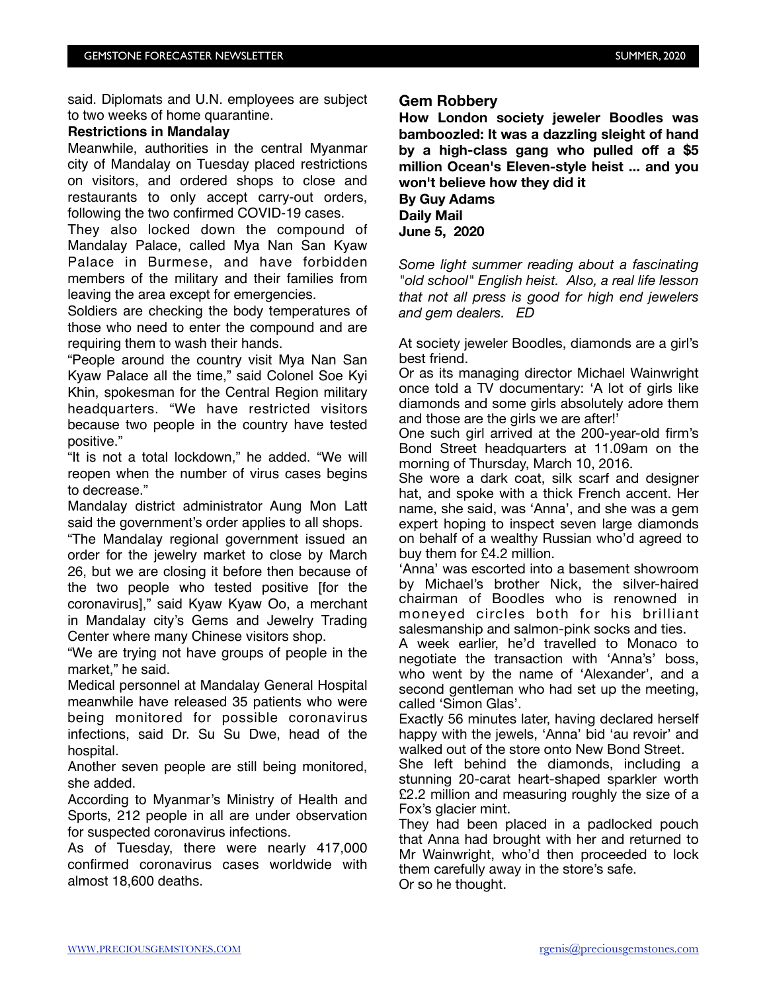said. Diplomats and U.N. employees are subject to two weeks of home quarantine.

# **Restrictions in Mandalay**

Meanwhile, authorities in the central Myanmar city of Mandalay on Tuesday placed restrictions on visitors, and ordered shops to close and restaurants to only accept carry-out orders, following the two confirmed COVID-19 cases.

They also locked down the compound of Mandalay Palace, called Mya Nan San Kyaw Palace in Burmese, and have forbidden members of the military and their families from leaving the area except for emergencies.

Soldiers are checking the body temperatures of those who need to enter the compound and are requiring them to wash their hands.

"People around the country visit Mya Nan San Kyaw Palace all the time," said Colonel Soe Kyi Khin, spokesman for the Central Region military headquarters. "We have restricted visitors because two people in the country have tested positive."

"It is not a total lockdown," he added. "We will reopen when the number of virus cases begins to decrease."

Mandalay district administrator Aung Mon Latt said the government's order applies to all shops.

"The Mandalay regional government issued an order for the jewelry market to close by March 26, but we are closing it before then because of the two people who tested positive [for the coronavirus]," said Kyaw Kyaw Oo, a merchant in Mandalay city's Gems and Jewelry Trading Center where many Chinese visitors shop.

"We are trying not have groups of people in the market," he said.

Medical personnel at Mandalay General Hospital meanwhile have released 35 patients who were being monitored for possible coronavirus infections, said Dr. Su Su Dwe, head of the hospital.

Another seven people are still being monitored, she added.

According to Myanmar's Ministry of Health and Sports, 212 people in all are under observation for suspected coronavirus infections.

As of Tuesday, there were nearly 417,000 confirmed coronavirus cases worldwide with almost 18,600 deaths.

#### **Gem Robbery**

**How London society jeweler Boodles was bamboozled: It was a dazzling sleight of hand by a high-class gang who pulled off a \$5 million Ocean's Eleven-style heist ... and you won't believe how they did it**

#### **By Guy Adams Daily Mail**

**June 5, 2020** 

*Some light summer reading about a fascinating "old school" English heist. Also, a real life lesson that not all press is good for high end jewelers and gem dealers. ED* 

At society jeweler Boodles, diamonds are a girl's best friend.

Or as its managing director Michael Wainwright once told a TV documentary: 'A lot of girls like diamonds and some girls absolutely adore them and those are the girls we are after!'

One such girl arrived at the 200-year-old firm's Bond Street headquarters at 11.09am on the morning of Thursday, March 10, 2016.

She wore a dark coat, silk scarf and designer hat, and spoke with a thick French accent. Her name, she said, was 'Anna', and she was a gem expert hoping to inspect seven large diamonds on behalf of a wealthy Russian who'd agreed to buy them for £4.2 million.

'Anna' was escorted into a basement showroom by Michael's brother Nick, the silver-haired chairman of Boodles who is renowned in moneyed circles both for his brilliant salesmanship and salmon-pink socks and ties.

A week earlier, he'd travelled to Monaco to negotiate the transaction with 'Anna's' boss, who went by the name of 'Alexander', and a second gentleman who had set up the meeting, called 'Simon Glas'.

Exactly 56 minutes later, having declared herself happy with the jewels, 'Anna' bid 'au revoir' and walked out of the store onto New Bond Street.

She left behind the diamonds, including a stunning 20-carat heart-shaped sparkler worth £2.2 million and measuring roughly the size of a Fox's glacier mint.

They had been placed in a padlocked pouch that Anna had brought with her and returned to Mr Wainwright, who'd then proceeded to lock them carefully away in the store's safe. Or so he thought.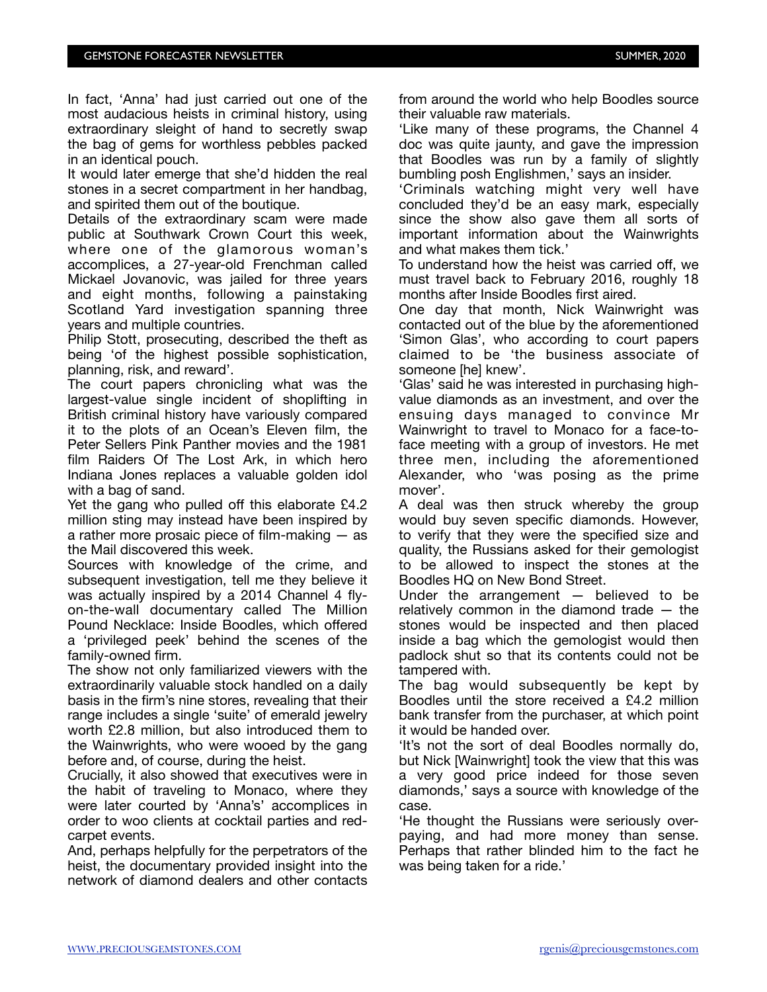In fact, 'Anna' had just carried out one of the most audacious heists in criminal history, using extraordinary sleight of hand to secretly swap the bag of gems for worthless pebbles packed in an identical pouch.

It would later emerge that she'd hidden the real stones in a secret compartment in her handbag, and spirited them out of the boutique.

Details of the extraordinary scam were made public at Southwark Crown Court this week, where one of the glamorous woman's accomplices, a 27-year-old Frenchman called Mickael Jovanovic, was jailed for three years and eight months, following a painstaking Scotland Yard investigation spanning three years and multiple countries.

Philip Stott, prosecuting, described the theft as being 'of the highest possible sophistication, planning, risk, and reward'.

The court papers chronicling what was the largest-value single incident of shoplifting in British criminal history have variously compared it to the plots of an Ocean's Eleven film, the Peter Sellers Pink Panther movies and the 1981 film Raiders Of The Lost Ark, in which hero Indiana Jones replaces a valuable golden idol with a bag of sand.

Yet the gang who pulled off this elaborate £4.2 million sting may instead have been inspired by a rather more prosaic piece of film-making — as the Mail discovered this week.

Sources with knowledge of the crime, and subsequent investigation, tell me they believe it was actually inspired by a 2014 Channel 4 flyon-the-wall documentary called The Million Pound Necklace: Inside Boodles, which offered a 'privileged peek' behind the scenes of the family-owned firm.

The show not only familiarized viewers with the extraordinarily valuable stock handled on a daily basis in the firm's nine stores, revealing that their range includes a single 'suite' of emerald jewelry worth £2.8 million, but also introduced them to the Wainwrights, who were wooed by the gang before and, of course, during the heist.

Crucially, it also showed that executives were in the habit of traveling to Monaco, where they were later courted by 'Anna's' accomplices in order to woo clients at cocktail parties and redcarpet events.

And, perhaps helpfully for the perpetrators of the heist, the documentary provided insight into the network of diamond dealers and other contacts

from around the world who help Boodles source their valuable raw materials.

'Like many of these programs, the Channel 4 doc was quite jaunty, and gave the impression that Boodles was run by a family of slightly bumbling posh Englishmen,' says an insider.

'Criminals watching might very well have concluded they'd be an easy mark, especially since the show also gave them all sorts of important information about the Wainwrights and what makes them tick.'

To understand how the heist was carried off, we must travel back to February 2016, roughly 18 months after Inside Boodles first aired.

One day that month, Nick Wainwright was contacted out of the blue by the aforementioned 'Simon Glas', who according to court papers claimed to be 'the business associate of someone [he] knew'.

'Glas' said he was interested in purchasing highvalue diamonds as an investment, and over the ensuing days managed to convince Mr Wainwright to travel to Monaco for a face-toface meeting with a group of investors. He met three men, including the aforementioned Alexander, who 'was posing as the prime mover'.

A deal was then struck whereby the group would buy seven specific diamonds. However, to verify that they were the specified size and quality, the Russians asked for their gemologist to be allowed to inspect the stones at the Boodles HQ on New Bond Street.

Under the arrangement — believed to be relatively common in the diamond trade — the stones would be inspected and then placed inside a bag which the gemologist would then padlock shut so that its contents could not be tampered with.

The bag would subsequently be kept by Boodles until the store received a £4.2 million bank transfer from the purchaser, at which point it would be handed over.

'It's not the sort of deal Boodles normally do, but Nick [Wainwright] took the view that this was a very good price indeed for those seven diamonds,' says a source with knowledge of the case.

'He thought the Russians were seriously overpaying, and had more money than sense. Perhaps that rather blinded him to the fact he was being taken for a ride.'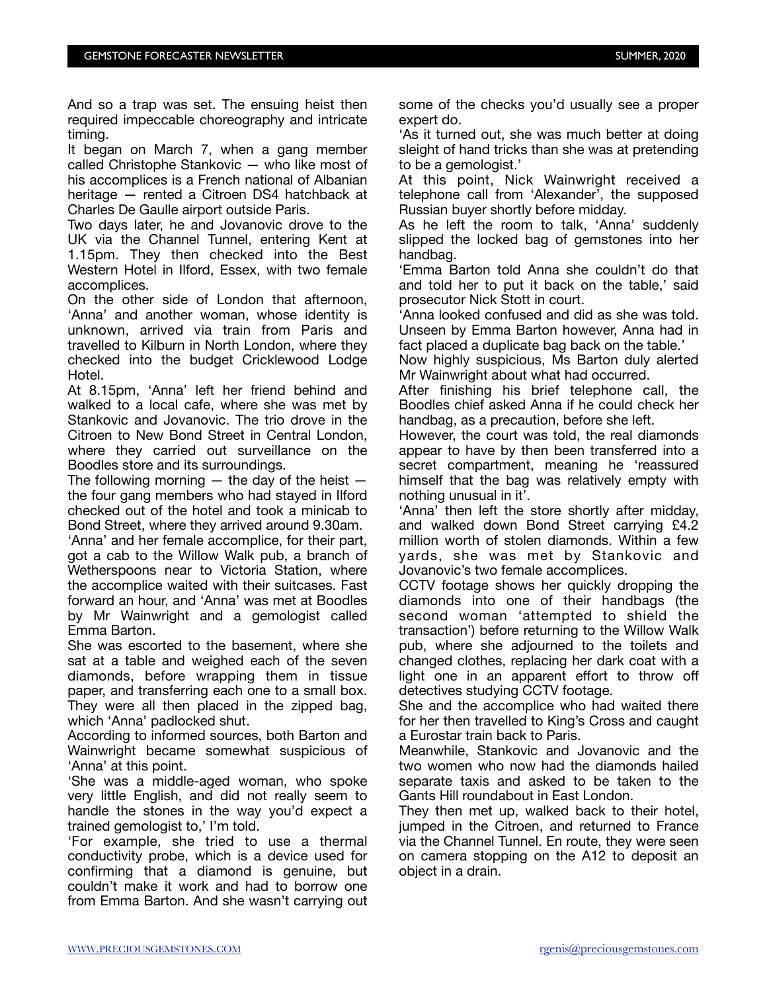And so a trap was set. The ensuing heist then required impeccable choreography and intricate timing.

It began on March 7, when a gang member called Christophe Stankovic — who like most of his accomplices is a French national of Albanian heritage — rented a Citroen DS4 hatchback at Charles De Gaulle airport outside Paris.

Two days later, he and Jovanovic drove to the UK via the Channel Tunnel, entering Kent at 1.15pm. They then checked into the Best Western Hotel in Ilford, Essex, with two female accomplices.

On the other side of London that afternoon, 'Anna' and another woman, whose identity is unknown, arrived via train from Paris and travelled to Kilburn in North London, where they checked into the budget Cricklewood Lodge Hotel.

At 8.15pm, 'Anna' left her friend behind and walked to a local cafe, where she was met by Stankovic and Jovanovic. The trio drove in the Citroen to New Bond Street in Central London, where they carried out surveillance on the Boodles store and its surroundings.

The following morning  $-$  the day of the heist  $$ the four gang members who had stayed in Ilford checked out of the hotel and took a minicab to Bond Street, where they arrived around 9.30am.

'Anna' and her female accomplice, for their part, got a cab to the Willow Walk pub, a branch of Wetherspoons near to Victoria Station, where the accomplice waited with their suitcases. Fast forward an hour, and 'Anna' was met at Boodles by Mr Wainwright and a gemologist called Emma Barton.

She was escorted to the basement, where she sat at a table and weighed each of the seven diamonds, before wrapping them in tissue paper, and transferring each one to a small box. They were all then placed in the zipped bag, which 'Anna' padlocked shut.

According to informed sources, both Barton and Wainwright became somewhat suspicious of 'Anna' at this point.

'She was a middle-aged woman, who spoke very little English, and did not really seem to handle the stones in the way you'd expect a trained gemologist to,' I'm told.

'For example, she tried to use a thermal conductivity probe, which is a device used for confirming that a diamond is genuine, but couldn't make it work and had to borrow one from Emma Barton. And she wasn't carrying out

some of the checks you'd usually see a proper expert do.

'As it turned out, she was much better at doing sleight of hand tricks than she was at pretending to be a gemologist.'

At this point, Nick Wainwright received a telephone call from 'Alexander', the supposed Russian buyer shortly before midday.

As he left the room to talk, 'Anna' suddenly slipped the locked bag of gemstones into her handbag.

'Emma Barton told Anna she couldn't do that and told her to put it back on the table,' said prosecutor Nick Stott in court.

'Anna looked confused and did as she was told. Unseen by Emma Barton however, Anna had in fact placed a duplicate bag back on the table.'

Now highly suspicious, Ms Barton duly alerted Mr Wainwright about what had occurred.

After finishing his brief telephone call, the Boodles chief asked Anna if he could check her handbag, as a precaution, before she left.

However, the court was told, the real diamonds appear to have by then been transferred into a secret compartment, meaning he 'reassured himself that the bag was relatively empty with nothing unusual in it'.

'Anna' then left the store shortly after midday, and walked down Bond Street carrying £4.2 million worth of stolen diamonds. Within a few yards, she was met by Stankovic and Jovanovic's two female accomplices.

CCTV footage shows her quickly dropping the diamonds into one of their handbags (the second woman 'attempted to shield the transaction') before returning to the Willow Walk pub, where she adjourned to the toilets and changed clothes, replacing her dark coat with a light one in an apparent effort to throw off detectives studying CCTV footage.

She and the accomplice who had waited there for her then travelled to King's Cross and caught a Eurostar train back to Paris.

Meanwhile, Stankovic and Jovanovic and the two women who now had the diamonds hailed separate taxis and asked to be taken to the Gants Hill roundabout in East London.

They then met up, walked back to their hotel, jumped in the Citroen, and returned to France via the Channel Tunnel. En route, they were seen on camera stopping on the A12 to deposit an object in a drain.